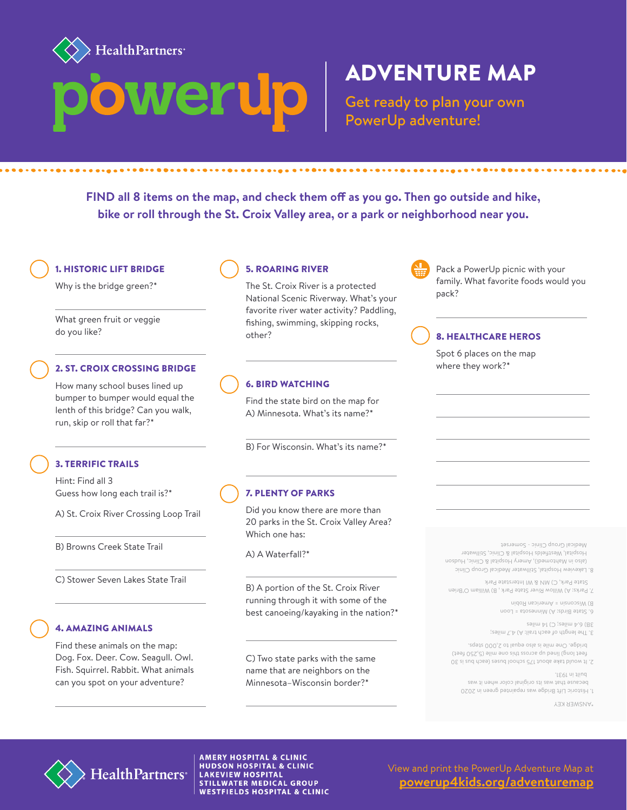

## ADVENTURE MAP

Get ready to plan your own PowerUp adventure!

**FIND all 8 items on the map, and check them off as you go. Then go outside and hike, bike or roll through the St. Croix Valley area, or a park or neighborhood near you.**

1. HISTORIC LIFT BRIDGE

Why is the bridge green?\*

What green fruit or veggie do you like?

#### 2. ST. CROIX CROSSING BRIDGE

How many school buses lined up bumper to bumper would equal the lenth of this bridge? Can you walk, run, skip or roll that far?\*

#### 3. TERRIFIC TRAILS

Hint: Find all 3 Guess how long each trail is?\*

A) St. Croix River Crossing Loop Trail

B) Browns Creek State Trail

C) Stower Seven Lakes State Trail

#### 4. AMAZING ANIMALS

Find these animals on the map: Dog. Fox. Deer. Cow. Seagull. Owl. Fish. Squirrel. Rabbit. What animals can you spot on your adventure?

### 5. ROARING RIVER

The St. Croix River is a protected National Scenic Riverway. What's your favorite river water activity? Paddling, fishing, swimming, skipping rocks, other?

### 6. BIRD WATCHING

Find the state bird on the map for A) Minnesota. What's its name?\*

B) For Wisconsin. What's its name?\*

#### 7. PLENTY OF PARKS

Did you know there are more than 20 parks in the St. Croix Valley Area? Which one has:

A) A Waterfall?\*

B) A portion of the St. Croix River running through it with some of the best canoeing/kayaking in the nation?\*

C) Two state parks with the same name that are neighbors on the Minnesota–Wisconsin border?\*



Pack a PowerUp picnic with your family. What favorite foods would you pack?

### 8. HEALTHCARE HEROS

Spot 6 places on the map where they work?\*

Lakeview Hospital, Stillwater Medical Group Clinic 8. (also in Mahtomedi), Amery Hospital & Clinic, Hudson Hospital, Westfields Hospital & Clinic, Stillwater Medical Group Clinic - Somerset

State Park, C) MN & WI Interstate Park

B) Wisconsin = American Robin Parks: A) Willow River State Park , B) William O'Brien 7.

6. State Birds: A) Minnesota = Loon

3. The length of each trail: A) 4.7 miles; 3B) 6.4 miles; C) 14 miles

feet long) lined up across this one mile (5,250 feet) bridge. One mile is also equal to 2,000 steps.

 built in 1931. It would take about 175 school buses (each bus is 30 2.

Historic Lift Bridge was repainted green in 2020 1. because that was its original color when it was

\*ANSWER KEY



**AMERY HOSPITAL & CLINIC HUDSON HOSPITAL & CLINIC LAKEVIEW HOSPITAL STILLWATER MEDICAL GROUP WESTFIELDS HOSPITAL & CLINIC** 

View and print the PowerUp Adventure Map at **[powerup4kids.org/adventuremap](http://powerup4kids.org/adventuremap)**